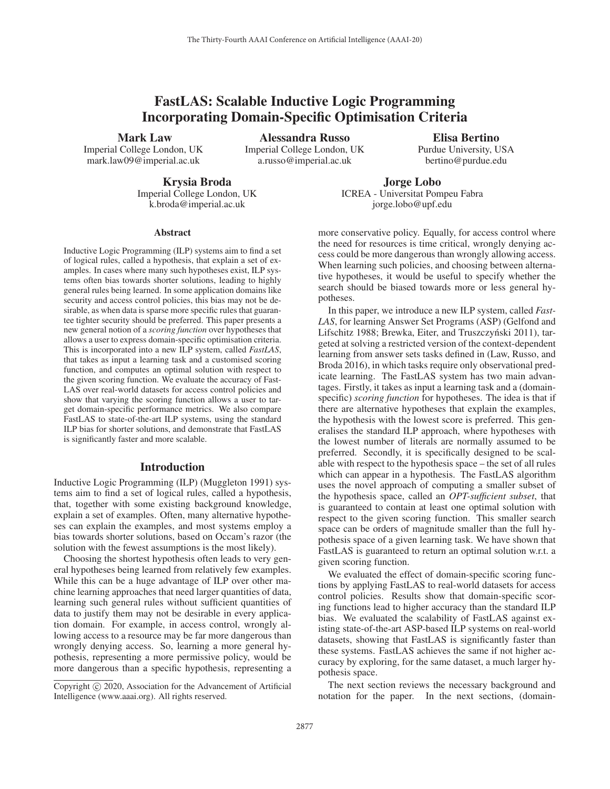# FastLAS: Scalable Inductive Logic Programming Incorporating Domain-Specific Optimisation Criteria

Mark Law

Imperial College London, UK mark.law09@imperial.ac.uk

Alessandra Russo Imperial College London, UK a.russo@imperial.ac.uk

Elisa Bertino Purdue University, USA bertino@purdue.edu

Krysia Broda Imperial College London, UK k.broda@imperial.ac.uk

Jorge Lobo ICREA - Universitat Pompeu Fabra jorge.lobo@upf.edu

#### Abstract

Inductive Logic Programming (ILP) systems aim to find a set of logical rules, called a hypothesis, that explain a set of examples. In cases where many such hypotheses exist, ILP systems often bias towards shorter solutions, leading to highly general rules being learned. In some application domains like security and access control policies, this bias may not be desirable, as when data is sparse more specific rules that guarantee tighter security should be preferred. This paper presents a new general notion of a *scoring function* over hypotheses that allows a user to express domain-specific optimisation criteria. This is incorporated into a new ILP system, called *FastLAS*, that takes as input a learning task and a customised scoring function, and computes an optimal solution with respect to the given scoring function. We evaluate the accuracy of Fast-LAS over real-world datasets for access control policies and show that varying the scoring function allows a user to target domain-specific performance metrics. We also compare FastLAS to state-of-the-art ILP systems, using the standard ILP bias for shorter solutions, and demonstrate that FastLAS is significantly faster and more scalable.

## Introduction

Inductive Logic Programming (ILP) (Muggleton 1991) systems aim to find a set of logical rules, called a hypothesis, that, together with some existing background knowledge, explain a set of examples. Often, many alternative hypotheses can explain the examples, and most systems employ a bias towards shorter solutions, based on Occam's razor (the solution with the fewest assumptions is the most likely).

Choosing the shortest hypothesis often leads to very general hypotheses being learned from relatively few examples. While this can be a huge advantage of ILP over other machine learning approaches that need larger quantities of data, learning such general rules without sufficient quantities of data to justify them may not be desirable in every application domain. For example, in access control, wrongly allowing access to a resource may be far more dangerous than wrongly denying access. So, learning a more general hypothesis, representing a more permissive policy, would be more dangerous than a specific hypothesis, representing a more conservative policy. Equally, for access control where the need for resources is time critical, wrongly denying access could be more dangerous than wrongly allowing access. When learning such policies, and choosing between alternative hypotheses, it would be useful to specify whether the search should be biased towards more or less general hypotheses.

In this paper, we introduce a new ILP system, called *Fast-LAS*, for learning Answer Set Programs (ASP) (Gelfond and Lifschitz 1988; Brewka, Eiter, and Truszczyński 2011), targeted at solving a restricted version of the context-dependent learning from answer sets tasks defined in (Law, Russo, and Broda 2016), in which tasks require only observational predicate learning. The FastLAS system has two main advantages. Firstly, it takes as input a learning task and a (domainspecific) *scoring function* for hypotheses. The idea is that if there are alternative hypotheses that explain the examples, the hypothesis with the lowest score is preferred. This generalises the standard ILP approach, where hypotheses with the lowest number of literals are normally assumed to be preferred. Secondly, it is specifically designed to be scalable with respect to the hypothesis space – the set of all rules which can appear in a hypothesis. The FastLAS algorithm uses the novel approach of computing a smaller subset of the hypothesis space, called an *OPT-sufficient subset*, that is guaranteed to contain at least one optimal solution with respect to the given scoring function. This smaller search space can be orders of magnitude smaller than the full hypothesis space of a given learning task. We have shown that FastLAS is guaranteed to return an optimal solution w.r.t. a given scoring function.

We evaluated the effect of domain-specific scoring functions by applying FastLAS to real-world datasets for access control policies. Results show that domain-specific scoring functions lead to higher accuracy than the standard ILP bias. We evaluated the scalability of FastLAS against existing state-of-the-art ASP-based ILP systems on real-world datasets, showing that FastLAS is significantly faster than these systems. FastLAS achieves the same if not higher accuracy by exploring, for the same dataset, a much larger hypothesis space.

The next section reviews the necessary background and notation for the paper. In the next sections, (domain-

Copyright  $\odot$  2020, Association for the Advancement of Artificial Intelligence (www.aaai.org). All rights reserved.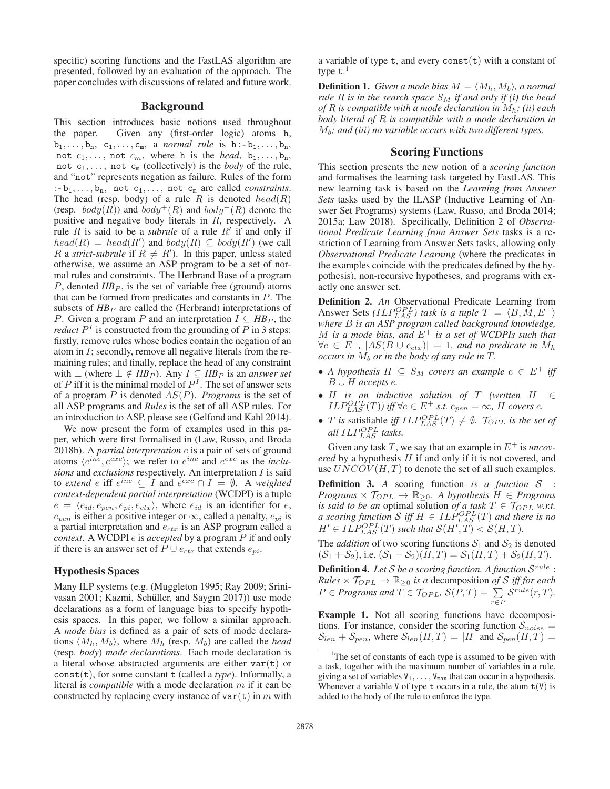specific) scoring functions and the FastLAS algorithm are presented, followed by an evaluation of the approach. The paper concludes with discussions of related and future work.

# Background

This section introduces basic notions used throughout the paper. Given any (first-order logic) atoms h,  $b_1,\ldots,b_n, c_1,\ldots,c_m, a \text{ normal rule is } h-b_1,\ldots,b_n,$ not  $c_1, \ldots$ , not  $c_m$ , where h is the *head*,  $b_1, \ldots, b_n$ , not  $c_1, \ldots$ , not  $c_m$  (collectively) is the *body* of the rule, and "not" represents negation as failure. Rules of the form  $: b_1, \ldots, b_n$ , not  $c_1, \ldots,$  not  $c_m$  are called *constraints*. The head (resp. body) of a rule R is denoted  $head(R)$ (resp.  $body(R)$ ) and  $body^{+}(R)$  and  $body^{-}(R)$  denote the positive and negative body literals in R, respectively. A rule R is said to be a *subrule* of a rule  $R'$  if and only if  $head(R) = head(R')$  and  $body(R) \subseteq body(R')$  (we call R a *strict-subrule* if  $R \neq R'$ ). In this paper, unless stated otherwise, we assume an ASP program to be a set of normal rules and constraints. The Herbrand Base of a program P, denoted  $HB_P$ , is the set of variable free (ground) atoms that can be formed from predicates and constants in P. The subsets of  $HB_P$  are called the (Herbrand) interpretations of *P*. Given a program *P* and an interpretation  $I \subseteq HB_P$ , the *reduct*  $P<sup>I</sup>$  is constructed from the grounding of P in 3 steps: firstly, remove rules whose bodies contain the negation of an atom in I; secondly, remove all negative literals from the remaining rules; and finally, replace the head of any constraint with  $\perp$  (where  $\perp \notin HB_P$ ). Any  $I \subseteq HB_P$  is an *answer set* of P iff it is the minimal model of  $P^T$ . The set of answer sets of a program P is denoted AS(P). *Programs* is the set of all ASP programs and *Rules* is the set of all ASP rules. For an introduction to ASP, please see (Gelfond and Kahl 2014).

We now present the form of examples used in this paper, which were first formalised in (Law, Russo, and Broda 2018b). A *partial interpretation* e is a pair of sets of ground atoms  $\langle e^{inc}, e^{exc} \rangle$ ; we refer to  $e^{inc}$  and  $e^{exc}$  as the *inclusions* and *exclusions* respectively. An interpretation I is said to *extend* e iff  $e^{inc} \subseteq I$  and  $e^{exc} \cap I = \emptyset$ . A *weighted context-dependent partial interpretation* (WCDPI) is a tuple  $e = \langle e_{id}, e_{pen}, e_{pi}, e_{ctx} \rangle$ , where  $e_{id}$  is an identifier for  $e$ ,  $e_{pen}$  is either a positive integer or  $\infty$ , called a penalty,  $e_{pi}$  is a partial interpretation and  $e_{ctx}$  is an ASP program called a *context*. A WCDPI e is *accepted* by a program P if and only if there is an answer set of  $P \cup e_{ctx}$  that extends  $e_{pi}$ .

## Hypothesis Spaces

Many ILP systems (e.g. (Muggleton 1995; Ray 2009; Srinivasan 2001; Kazmi, Schüller, and Saygın 2017)) use mode declarations as a form of language bias to specify hypothesis spaces. In this paper, we follow a similar approach. A *mode bias* is defined as a pair of sets of mode declarations  $\langle M_h, M_b \rangle$ , where  $M_h$  (resp.  $M_b$ ) are called the *head* (resp. *body*) *mode declarations*. Each mode declaration is a literal whose abstracted arguments are either  $var(t)$  or const(t), for some constant t (called a *type*). Informally, a literal is *compatible* with a mode declaration m if it can be constructed by replacing every instance of  $var(t)$  in m with

a variable of type  $t$ , and every const $(t)$  with a constant of type t.<sup>1</sup>

**Definition 1.** *Given a mode bias*  $M = \langle M_h, M_b \rangle$ , *a normal rule*  $R$  *is in the search space*  $S_M$  *if and only if (i) the head of* R *is compatible with a mode declaration in* Mh*; (ii) each body literal of* R *is compatible with a mode declaration in* Mb*; and (iii) no variable occurs with two different types.*

## Scoring Functions

This section presents the new notion of a *scoring function* and formalises the learning task targeted by FastLAS. This new learning task is based on the *Learning from Answer Sets* tasks used by the ILASP (Inductive Learning of Answer Set Programs) systems (Law, Russo, and Broda 2014; 2015a; Law 2018). Specifically, Definition 2 of *Observational Predicate Learning from Answer Sets* tasks is a restriction of Learning from Answer Sets tasks, allowing only *Observational Predicate Learning* (where the predicates in the examples coincide with the predicates defined by the hypothesis), non-recursive hypotheses, and programs with exactly one answer set.

Definition 2. *An* Observational Predicate Learning from Answer Sets *(ILP<sup>OPL</sup>)* task is a tuple  $T = \langle B, M, E^+ \rangle$ *where* B *is an ASP program called background knowledge,* M *is a mode bias, and* E<sup>+</sup> *is a set of WCDPIs such that*  $\forall e \in E^+, |AS(B \cup e_{ctx})| = 1$ , and no predicate in  $M_h$ *occurs in*  $M_b$  *or in the body of any rule in*  $\hat{T}$ *.* 

- *A hypothesis*  $H \subseteq S_M$  *covers an example*  $e \in E^+$  *iff* B ∪ H *accepts* e*.*
- H *is an inductive solution of* T *(written* H ∈  $ILP_{LAS}^{OPL}(T)$ *)* iff  $\forall e \in E^+$  s.t.  $e_{pen} = \infty$ , H covers e.
- *T* is satisfiable iff  $ILP_{LAS}^{OPL}(T) \neq \emptyset$ .  $\mathcal{T}_{OPL}$  is the set of all  $ILP_{LAS}^{OPL}$  tasks.

Given any task T, we say that an example in  $E^+$  is *uncovered* by a hypothesis H if and only if it is not covered, and use  $UNCOV(H, T)$  to denote the set of all such examples.

Definition 3. *A* scoring function *is a function* S : *Programs*  $\times$   $\mathcal{T}_{OPL}$   $\rightarrow$   $\mathbb{R}_{\geq 0}$ . A hypothesis  $H \in$  Programs *is said to be an optimal solution of a task*  $T \in \mathcal{T}_{OPL}$  *w.r.t. a* scoring function S iff  $H \in ILP_{LAS}^{OPL}(T)$  and there is no  $H' \in ILP_{LAS}^{OPL}(T)$  such that  $\mathcal{S}(H',T) < \mathcal{S}(H,T)$ .

The *addition* of two scoring functions  $S_1$  and  $S_2$  is denoted  $(S_1 + S_2)$ , i.e.  $(S_1 + S_2)(H, T) = S_1(H, T) + S_2(H, T)$ .

Definition 4. *Let* S *be a scoring function. A function* Srule :  $Rules \times \mathcal{T}_{OPL} \rightarrow \mathbb{R}_{\geq 0}$  *is a* decomposition *of S iff for each*  $P \in Programs$  and  $\overline{T} \in \mathcal{T}_{OPL}$ ,  $\mathcal{S}(P, T) = \sum$ r∈P  $\mathcal{S}^{rule}(r,T)$ .

Example 1. Not all scoring functions have decompositions. For instance, consider the scoring function  $S_{noise}$  =  $S_{len} + S_{pen}$ , where  $S_{len}(H, T) = |H|$  and  $S_{pen}(H, T) =$ 

<sup>&</sup>lt;sup>1</sup>The set of constants of each type is assumed to be given with a task, together with the maximum number of variables in a rule, giving a set of variables  $V_1, \ldots, V_{\text{max}}$  that can occur in a hypothesis. Whenever a variable V of type  $t$  occurs in a rule, the atom  $t(V)$  is added to the body of the rule to enforce the type.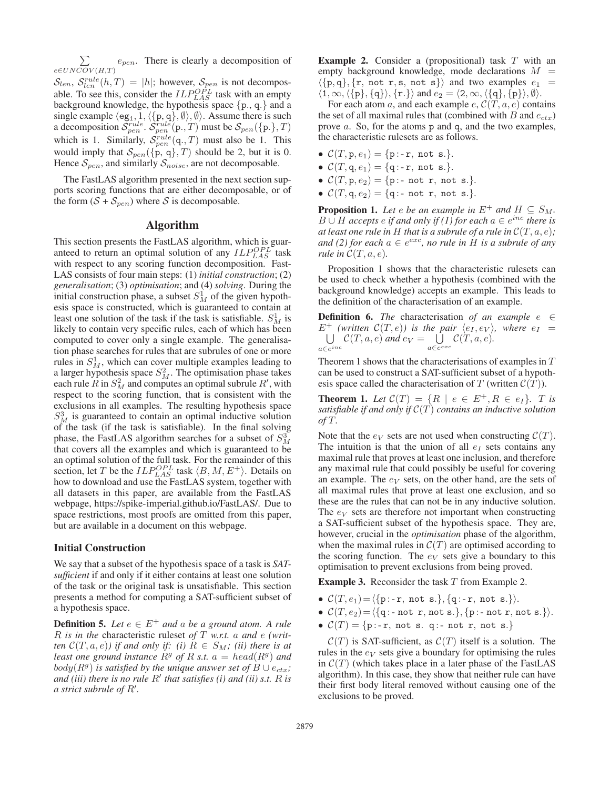$\sum$  $e\in UNCOV(H,T)$  $e_{pen}$ . There is clearly a decomposition of

 $S_{len}, S_{len}^{rule}(h, T) = |h|$ ; however,  $S_{pen}$  is not decomposable. To see this, consider the  $ILP_{LAS}^{OPL}$  task with an empty background knowledge, the hypothesis space  ${p, q}$ . and a single example  $\langle \texttt{eg}_1, 1, \langle \{\texttt{p}, \texttt{q}\}, \emptyset \rangle$ ,  $\emptyset$ . Assume there is such a decomposition  $\mathcal{S}^{\text{rule}}_{\text{pen}}$ .  $\mathcal{S}^{\text{rule}}_{\text{pen}}(p., T)$  must be  $\mathcal{S}_{\text{pen}}(\{p.\}, T)$ which is 1. Similarly,  $\mathcal{S}_{pen}^{rule}(\mathbf{q}_{\cdot},T)$  must also be 1. This would imply that  $S_{pen}(\lbrace p, q \rbrace, T)$  should be 2, but it is 0. Hence  $S_{pen}$ , and similarly  $S_{noise}$ , are not decomposable.

The FastLAS algorithm presented in the next section supports scoring functions that are either decomposable, or of the form  $(S + S_{pen})$  where S is decomposable.

## Algorithm

This section presents the FastLAS algorithm, which is guaranteed to return an optimal solution of any  $ILP_{LAS}^{OPL}$  task with respect to any scoring function decomposition. Fast-LAS consists of four main steps: (1) *initial construction*; (2) *generalisation*; (3) *optimisation*; and (4) *solving*. During the initial construction phase, a subset  $S_M^1$  of the given hypothesis space is constructed, which is guaranteed to contain at least one solution of the task if the task is satisfiable.  $S_M^1$  is likely to contain very specific rules, each of which has been computed to cover only a single example. The generalisation phase searches for rules that are subrules of one or more rules in  $S_M^1$ , which can cover multiple examples leading to a larger hypothesis space  $S_M^2$ . The optimisation phase takes each rule  $\hat{R}$  in  $S_M^2$  and computes an optimal subrule  $R'$ , with respect to the scoring function, that is consistent with the exclusions in all examples. The resulting hypothesis space  $S_M^3$  is guaranteed to contain an optimal inductive solution of the task (if the task is satisfiable). In the final solving phase, the FastLAS algorithm searches for a subset of  $S_M^3$ that covers all the examples and which is guaranteed to be an optimal solution of the full task. For the remainder of this section, let T be the  $ILP_{LAS}^{OPL}$  task  $\langle B, M, E^+ \rangle$ . Details on how to download and use the FastLAS system, together with all datasets in this paper, are available from the FastLAS webpage, https://spike-imperial.github.io/FastLAS/. Due to space restrictions, most proofs are omitted from this paper, but are available in a document on this webpage.

## Initial Construction

We say that a subset of the hypothesis space of a task is *SATsufficient* if and only if it either contains at least one solution of the task or the original task is unsatisfiable. This section presents a method for computing a SAT-sufficient subset of a hypothesis space.

**Definition 5.** Let  $e \in E^+$  and a be a ground atom. A rule R *is in the* characteristic ruleset *of* T *w.r.t.* a *and* e *(written*  $\mathcal{C}(T, a, e)$ *)* if and only if: (i)  $R \in S_M$ *;* (ii) there is at *least one ground instance*  $R^g$  *of* R *s.t.*  $a = head(R^g)$  *and*  $body(R<sup>g</sup>)$  *is satisfied by the unique answer set of*  $B \cup e_{ctx}$ *;* and (iii) there is no rule  $R'$  that satisfies (i) and (ii) s.t.  $\overline{R}$  is a strict subrule of R'.

**Example 2.** Consider a (propositional) task  $T$  with an empty background knowledge, mode declarations  $M =$  $\langle \{\text{p},\text{q}\}, \{\text{r},\text{ not r},\text{s},\text{ not s}\}\rangle$  and two examples  $e_1$  $\langle 1, \infty, \langle \{p\}, \{q\} \rangle, \{r.\} \rangle$  and  $e_2 = \langle 2, \infty, \langle \{q\}, \{p\} \rangle, \emptyset \rangle$ .

For each atom a, and each example  $e, C(T, a, e)$  contains the set of all maximal rules that (combined with B and  $e_{ctx}$ ) prove a. So, for the atoms p and q, and the two examples, the characteristic rulesets are as follows.

- $C(T, p, e_1) = \{p : -r, not s.\}.$
- $C(T, q, e_1) = \{q:-r, not s.\}.$
- $C(T, p, e_2) = \{p : \text{not } r, \text{ not } s.\}.$
- $C(T, q, e_2) = \{q : \text{not } r, \text{ not } s.\}.$

**Proposition 1.** Let  $e$  be an example in  $E^+$  and  $H \subseteq S_M$ . *B* ∪ *H accepts e if and only if (1) for each*  $a \in e^{inc}$  *there is at least one rule in* H *that is a subrule of a rule in*  $\mathcal{C}(T, a, e)$ ; *and (2) for each*  $a \in e^{exc}$ *, no rule in* H *is a subrule of any rule in*  $C(T, a, e)$ *.* 

Proposition 1 shows that the characteristic rulesets can be used to check whether a hypothesis (combined with the background knowledge) accepts an example. This leads to the definition of the characterisation of an example.

**Definition 6.** *The* characterisation *of an example*  $e \in$  $E^+$ U *(written*  $C(T, e)$ *) is the pair*  $\langle e_I, e_V \rangle$ *, where*  $e_I =$  $a \in e^{i n c}$  $\mathcal{C}(T, a, e)$  and  $e_V = \dot{\cup}$  $a \in e^{exc}$  $\mathcal{C}(T,a,e)$ .

Theorem 1 shows that the characterisations of examples in  $T$ can be used to construct a SAT-sufficient subset of a hypothesis space called the characterisation of T (written  $C(T)$ ).

**Theorem 1.** Let  $C(T) = \{R \mid e \in E^+, R \in e_I\}$ . T is *satisfiable if and only if* C(T) *contains an inductive solution of* T*.*

Note that the  $e_V$  sets are not used when constructing  $\mathcal{C}(T)$ . The intuition is that the union of all  $e_I$  sets contains any maximal rule that proves at least one inclusion, and therefore any maximal rule that could possibly be useful for covering an example. The  $e_V$  sets, on the other hand, are the sets of all maximal rules that prove at least one exclusion, and so these are the rules that can not be in any inductive solution. The  $e_V$  sets are therefore not important when constructing a SAT-sufficient subset of the hypothesis space. They are, however, crucial in the *optimisation* phase of the algorithm, when the maximal rules in  $C(T)$  are optimised according to the scoring function. The  $e_V$  sets give a boundary to this optimisation to prevent exclusions from being proved.

**Example 3.** Reconsider the task  $T$  from Example 2.

- $C(T, e_1) = \langle \{p : -r, not s. \}, \{q : -r, not s. \} \rangle$ .
- $C(T, e_2) = \langle \{q : -\text{not } r, \text{not } s.\}, \{p : -\text{not } r, \text{not } s.\} \rangle$ .
- $C(T) = \{p:-r, not s. q:-not r, not s.\}$

 $\mathcal{C}(T)$  is SAT-sufficient, as  $\mathcal{C}(T)$  itself is a solution. The rules in the  $e_V$  sets give a boundary for optimising the rules in  $C(T)$  (which takes place in a later phase of the FastLAS algorithm). In this case, they show that neither rule can have their first body literal removed without causing one of the exclusions to be proved.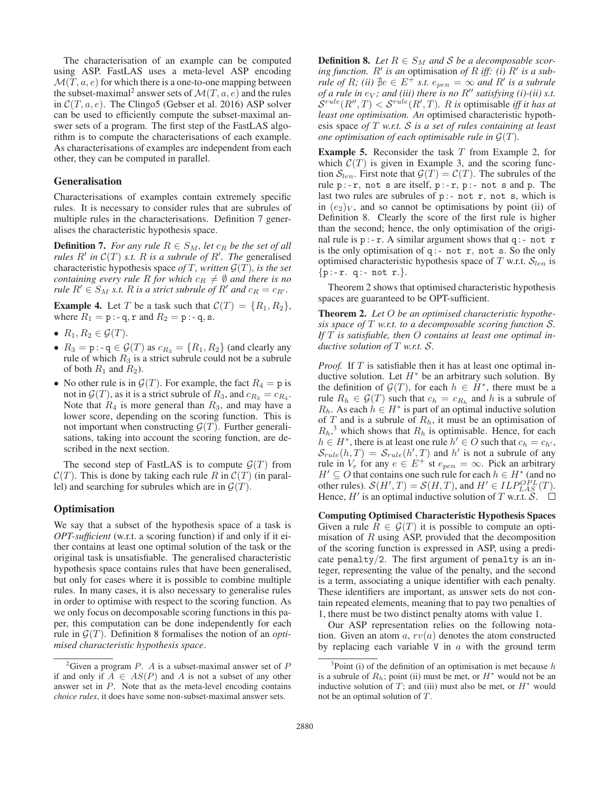The characterisation of an example can be computed using ASP. FastLAS uses a meta-level ASP encoding  $\mathcal{M}(T, a, e)$  for which there is a one-to-one mapping between the subset-maximal<sup>2</sup> answer sets of  $\mathcal{M}(T, a, e)$  and the rules in  $C(T, a, e)$ . The Clingo5 (Gebser et al. 2016) ASP solver can be used to efficiently compute the subset-maximal answer sets of a program. The first step of the FastLAS algorithm is to compute the characterisations of each example. As characterisations of examples are independent from each other, they can be computed in parallel.

## Generalisation

Characterisations of examples contain extremely specific rules. It is necessary to consider rules that are subrules of multiple rules in the characterisations. Definition 7 generalises the characteristic hypothesis space.

**Definition 7.** *For any rule*  $R \in S_M$ *, let*  $c_R$  *be the set of all rules*  $R'$  in  $C(T)$  *s.t.*  $R$  *is a subrule of*  $R'$ . *The* generalised characteristic hypothesis space *of*  $T$ *, written*  $\mathcal{G}(T)$ *, is the set containing every rule* R *for which*  $c_R \neq \emptyset$  *and there is no rule*  $R' \in S_M$  *s.t.* R *is a strict subrule of*  $R'$  *and*  $c_R = c_{R'}$ .

**Example 4.** Let T be a task such that  $C(T) = \{R_1, R_2\}$ , where  $R_1 = \mathbf{p} \cdot \mathbf{q}$ ,  $\mathbf{r}$  and  $R_2 = \mathbf{p} \cdot \mathbf{q}$ ,  $\mathbf{s}$ .

- $R_1, R_2 \in \mathcal{G}(T)$ .
- $R_3 = \text{p} : -\text{q} \in \mathcal{G}(T)$  as  $c_{R_3} = \{R_1, R_2\}$  (and clearly any rule of which  $R_3$  is a strict subrule could not be a subrule of both  $R_1$  and  $R_2$ ).
- No other rule is in  $\mathcal{G}(T)$ . For example, the fact  $R_4 = p$  is not in  $\mathcal{G}(T)$ , as it is a strict subrule of  $R_3$ , and  $c_{R_3} = c_{R_4}$ . Note that  $R_4$  is more general than  $R_3$ , and may have a lower score, depending on the scoring function. This is not important when constructing  $\mathcal{G}(T)$ . Further generalisations, taking into account the scoring function, are described in the next section.

The second step of FastLAS is to compute  $\mathcal{G}(T)$  from  $\mathcal{C}(T)$ . This is done by taking each rule R in  $\mathcal{C}(T)$  (in parallel) and searching for subrules which are in  $\mathcal{G}(T)$ .

### **Optimisation**

We say that a subset of the hypothesis space of a task is *OPT-sufficient* (w.r.t. a scoring function) if and only if it either contains at least one optimal solution of the task or the original task is unsatisfiable. The generalised characteristic hypothesis space contains rules that have been generalised, but only for cases where it is possible to combine multiple rules. In many cases, it is also necessary to generalise rules in order to optimise with respect to the scoring function. As we only focus on decomposable scoring functions in this paper, this computation can be done independently for each rule in  $\mathcal{G}(T)$ . Definition 8 formalises the notion of an *optimised characteristic hypothesis space*.

**Definition 8.** Let  $R \in S_M$  and S be a decomposable scor- $\int$ *ing function.*  $R'$  *is an* optimisation *of*  $R$  *iff: (i)*  $R'$  *is a subrule of R;* (*ii*)  $\sharp e \in E^+$  *s.t.*  $e_{pen} = \infty$  *and*  $R'$  *is a subrule of a rule in*  $e_V$ *; and (iii) there is no R'' satisfying (i)-(ii) s.t.*  $\mathcal{S}^{rule}(R'',T) < \mathcal{S}^{rule}(R',T)$ . R is optimisable *iff it has at least one optimisation. An* optimised characteristic hypothesis space *of* T *w.r.t.* S *is a set of rules containing at least one optimisation of each optimisable rule in*  $\mathcal{G}(T)$ *.* 

**Example 5.** Reconsider the task  $T$  from Example 2, for which  $C(T)$  is given in Example 3, and the scoring function  $S_{len}$ . First note that  $\mathcal{G}(T) = \mathcal{C}(T)$ . The subrules of the rule  $p:-r$ , not s are itself,  $p:-r$ ,  $p:-$  not s and p. The last two rules are subrules of  $p:$ - not r, not s, which is in  $(e_2)_V$ , and so cannot be optimisations by point (ii) of Definition 8. Clearly the score of the first rule is higher than the second; hence, the only optimisation of the original rule is  $p : -r$ . A similar argument shows that q : - not r is the only optimisation of  $q:$  - not r, not s. So the only optimised characteristic hypothesis space of  $T$  w.r.t.  $\mathcal{S}_{len}$  is  ${p:-r. q:- not r.}.$ 

Theorem 2 shows that optimised characteristic hypothesis spaces are guaranteed to be OPT-sufficient.

Theorem 2. *Let* O *be an optimised characteristic hypothesis space of* T *w.r.t. to a decomposable scoring function* S*. If* T *is satisfiable, then* O *contains at least one optimal inductive solution of* T *w.r.t.* S*.*

*Proof.* If T is satisfiable then it has at least one optimal inductive solution. Let  $H^*$  be an arbitrary such solution. By the definition of  $\mathcal{G}(T)$ , for each  $h \in H^*$ , there must be a rule  $R_h \in \mathcal{G}(T)$  such that  $c_h = c_{R_h}$  and h is a subrule of  $R_h$ . As each  $h \in H^*$  is part of an optimal inductive solution of T and is a subrule of  $R<sub>h</sub>$ , it must be an optimisation of  $R_h$ ,<sup>3</sup> which shows that  $R_h$  is optimisable. Hence, for each  $h \in H^*$ , there is at least one rule  $h' \in O$  such that  $c_h = c_{h'}$ ,  $S_{rule}(h, T) = S_{rule}(h', T)$  and h' is not a subrule of any rule in  $V_e$  for any  $e \in E^+$  st  $e_{pen} = \infty$ . Pick an arbitrary  $H' \subseteq O$  that contains one such rule for each  $h \in H^*$  (and no other rules).  $S(H',T) = S(H,T)$ , and  $H' \in ILP_{LAS}^{OPL}(T)$ . Hence,  $H'$  is an optimal inductive solution of T w.r.t. S.

Computing Optimised Characteristic Hypothesis Spaces Given a rule  $R \in \mathcal{G}(T)$  it is possible to compute an optimisation of  $R$  using ASP, provided that the decomposition of the scoring function is expressed in ASP, using a predicate penalty/2. The first argument of penalty is an integer, representing the value of the penalty, and the second is a term, associating a unique identifier with each penalty. These identifiers are important, as answer sets do not contain repeated elements, meaning that to pay two penalties of 1, there must be two distinct penalty atoms with value 1.

Our ASP representation relies on the following notation. Given an atom  $a, rv(a)$  denotes the atom constructed by replacing each variable  $V$  in  $a$  with the ground term

<sup>&</sup>lt;sup>2</sup>Given a program *P*. *A* is a subset-maximal answer set of *P* if and only if  $A \in AS(P)$  and A is not a subset of any other answer set in  $P$ . Note that as the meta-level encoding contains *choice rules*, it does have some non-subset-maximal answer sets.

 $3$ Point (i) of the definition of an optimisation is met because  $h$ is a subrule of  $R_h$ ; point (ii) must be met, or  $H^*$  would not be an inductive solution of T; and (iii) must also be met, or  $H^*$  would not be an optimal solution of T.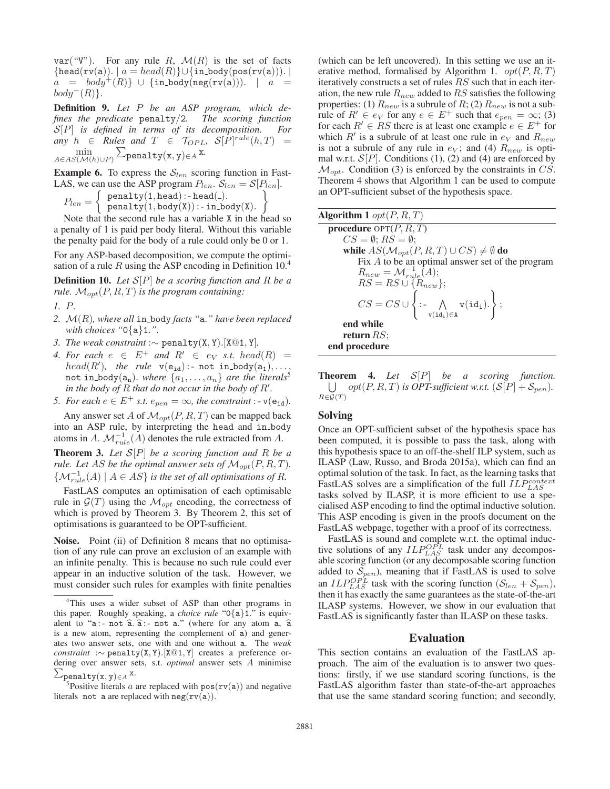$var("V")$ . For any rule R,  $\mathcal{M}(R)$  is the set of facts  ${head(rv(a))}. | a = head(R){} \cup {in-body(pos(rv(a)))}.$  $a = body^+(R)$ } ∪ {in\_body(neg(rv(a))). |  $a =$  $body^{-}(R)$ .

Definition 9. *Let* P *be an ASP program, which defines the predicate* penalty/2*. The scoring function* S[P] *is defined in terms of its decomposition. For*  $\lim_{h \to 0} h \in R$ *ules and*  $T \in \mathcal{T}_{OPL}$ ,  $\mathcal{S}[\hat{P}]^{rule}(h,T) =$ min  $A\in AS(\mathcal{M}(h)\cup P)$  $\sum_{\texttt{penalty}({\texttt{x}},{\texttt{y}}) \in A} {\texttt{x}}.$ 

**Example 6.** To express the  $S_{len}$  scoring function in Fast-LAS, we can use the ASP program  $P_{len}$ .  $S_{len} = S[P_{len}]$ .

 $P_{len} = \begin{cases} \text{penalty}(1, \text{head}) : \text{head}(1). \\ \text{nonality}(1, \text{body}(X)) : \text{in } \text{hs} \end{cases}$  $\frac{1}{\texttt{penalty}}(1, \texttt{body}(X))$  : - in\_body(X).  $\mathcal{L}$ 

Note that the second rule has a variable X in the head so a penalty of 1 is paid per body literal. Without this variable the penalty paid for the body of a rule could only be 0 or 1.

For any ASP-based decomposition, we compute the optimisation of a rule R using the ASP encoding in Definition  $10<sup>4</sup>$ 

Definition 10. *Let* S[P] *be a scoring function and* R *be a rule.*  $M_{opt}(P, R, T)$  *is the program containing:* 

- *1.* P*.*
- *2.* M(R)*, where all* in body *facts "*a.*" have been replaced with choices "*0{a}1.*".*
- *3. The weak constraint* :∼ penalty(X, Y).[X@1, Y]*.*
- 4. For each  $e \in E^+$  and  $R' \in e_V$  *s.t.* head(R) =  $head(R'),$  the rule  $v(e_{id})$ : not in body $(a_1), \ldots,$ not in body( $a_n$ ). *where*  $\{a_1, \ldots, a_n\}$  *are the literals*<sup>5</sup> in the body of  $\overrightarrow{R}$  that do not occur in the body of  $R'$ .
- *5. For each*  $e \in E^+$  *s.t.*  $e_{pen} = \infty$ *, the constraint* :  $v(e_{id})$ *.*

Any answer set A of  $\mathcal{M}_{opt}(P, R, T)$  can be mapped back into an ASP rule, by interpreting the head and in body atoms in A.  $\mathcal{M}_{rule}^{-1}(A)$  denotes the rule extracted from A.

Theorem 3. *Let* S[P] *be a scoring function and* R *be a rule. Let* AS *be the optimal answer sets of*  $M_{opt}(P, R, T)$ *.*  $\{\mathcal{M}_{rule}^{-1}(A) \mid A \in AS\}$  *is the set of all optimisations of R.* 

FastLAS computes an optimisation of each optimisable rule in  $\mathcal{G}(T)$  using the  $\mathcal{M}_{opt}$  encoding, the correctness of which is proved by Theorem 3. By Theorem 2, this set of optimisations is guaranteed to be OPT-sufficient.

Noise. Point (ii) of Definition 8 means that no optimisation of any rule can prove an exclusion of an example with an infinite penalty. This is because no such rule could ever appear in an inductive solution of the task. However, we must consider such rules for examples with finite penalties (which can be left uncovered). In this setting we use an iterative method, formalised by Algorithm 1.  $opt(P, R, T)$ iteratively constructs a set of rules RS such that in each iteration, the new rule  $R_{new}$  added to  $RS$  satisfies the following properties: (1)  $R_{new}$  is a subrule of R; (2)  $R_{new}$  is not a subrule of  $R' \in e_V$  for any  $e \in E^+$  such that  $e_{pen} = \infty$ ; (3) for each  $R' \in \mathbb{R}$ S there is at least one example  $e \in E^+$  for which  $R'$  is a subrule of at least one rule in  $e_V$  and  $R_{new}$ is not a subrule of any rule in  $e_V$ ; and (4)  $R_{new}$  is optimal w.r.t.  $S[P]$ . Conditions (1), (2) and (4) are enforced by  $\mathcal{M}_{opt}$ . Condition (3) is enforced by the constraints in CS. Theorem 4 shows that Algorithm 1 can be used to compute an OPT-sufficient subset of the hypothesis space.

| Algorithm 1 $opt(P, R, T)$                                                                                                                                           |
|----------------------------------------------------------------------------------------------------------------------------------------------------------------------|
| <b>procedure</b> $OPT(P, R, T)$                                                                                                                                      |
| $CS = \emptyset$ ; $RS = \emptyset$ ;                                                                                                                                |
| while $AS(\mathcal{M}_{opt}(P, R, T) \cup CS) \neq \emptyset$ do                                                                                                     |
| Fix $A$ to be an optimal answer set of the program                                                                                                                   |
| $R_{new} = \mathcal{M}_{rule}^{-1}(A);$                                                                                                                              |
| $RS = RS \cup \{R_{new}\};$                                                                                                                                          |
| $CS = CS \cup \left\{ \left. \begin{gathered} . - \bigwedge_{\mathsf{v}(\mathtt{id}_1) \in \mathtt{A}} \mathsf{v}(\mathtt{id}_1). \right\} ; \end{gathered} \right.$ |
| end while                                                                                                                                                            |
| return $RS$ ;                                                                                                                                                        |
| end procedure                                                                                                                                                        |

Theorem 4. *Let* S[P] *be a scoring function.*  $\bigcup$  *opt*(*P*, *R*, *T*) *is OPT-sufficient w.r.t.* ( $\mathcal{S}[P]$  +  $\mathcal{S}_{pen}$ ).  $R \in \mathcal{G}(T)$ 

## Solving

Once an OPT-sufficient subset of the hypothesis space has been computed, it is possible to pass the task, along with this hypothesis space to an off-the-shelf ILP system, such as ILASP (Law, Russo, and Broda 2015a), which can find an optimal solution of the task. In fact, as the learning tasks that FastLAS solves are a simplification of the full  $ILP_{LAS}^{context}$ tasks solved by ILASP, it is more efficient to use a specialised ASP encoding to find the optimal inductive solution. This ASP encoding is given in the proofs document on the FastLAS webpage, together with a proof of its correctness.

FastLAS is sound and complete w.r.t. the optimal inductive solutions of any  $ILP_{LAS}^{OPL}$  task under any decomposable scoring function (or any decomposable scoring function added to  $S_{pen}$ ), meaning that if FastLAS is used to solve an  $ILP_{LAS}^{OPL}$  task with the scoring function  $(S_{len} + S_{pen})$ , then it has exactly the same guarantees as the state-of-the-art ILASP systems. However, we show in our evaluation that FastLAS is significantly faster than ILASP on these tasks.

# Evaluation

This section contains an evaluation of the FastLAS approach. The aim of the evaluation is to answer two questions: firstly, if we use standard scoring functions, is the FastLAS algorithm faster than state-of-the-art approaches that use the same standard scoring function; and secondly,

<sup>&</sup>lt;sup>4</sup>This uses a wider subset of ASP than other programs in this paper. Roughly speaking, a *choice rule* "0{a}1." is equivalent to "a:- not  $\hat{a}$ .  $\hat{a}$ :- not a." (where for any atom a,  $\hat{a}$ <br>is a new atom representing the complement of a) and generis a new atom, representing the complement of a) and generates two answer sets one with and one without a. The *weak* ates two answer sets, one with and one without a. The *weak constraint* :<sup>∼</sup> penalty(X, Y).[X@1, Y] creates a preference ordering over answer sets, s.t. *optimal* answer sets A minimise  $\sum_{\substack{\text{penalty}(x, y) \in A \\ \text{5} \text{Positive literals } a}} x.$ 

<sup>&</sup>lt;sup>5</sup>Positive literals a are replaced with  $pos(rv(a))$  and negative rals not, a are replaced with  $neg(rv(a))$ literals not a are replaced with  $neg(rv(a))$ .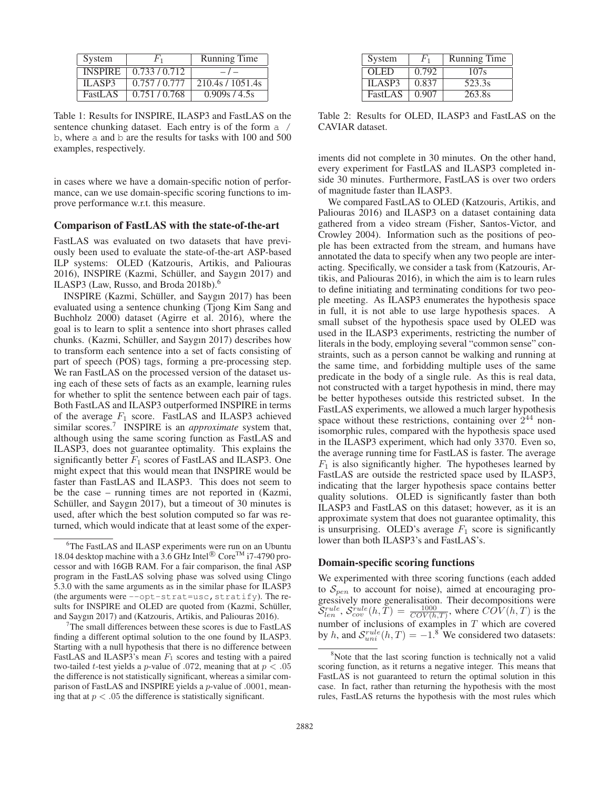| System         | F <sub>1</sub> | Running Time     |  |
|----------------|----------------|------------------|--|
| <b>INSPIRE</b> | 0.733/0.712    | $-1-$            |  |
| ILASP3         | 0.757/0.777    | 210.4s / 1051.4s |  |
| FastLAS        | 0.751/0.768    | 0.909s/4.5s      |  |

Table 1: Results for INSPIRE, ILASP3 and FastLAS on the sentence chunking dataset. Each entry is of the form a / b, where a and b are the results for tasks with 100 and 500 examples, respectively.

in cases where we have a domain-specific notion of performance, can we use domain-specific scoring functions to improve performance w.r.t. this measure.

#### Comparison of FastLAS with the state-of-the-art

FastLAS was evaluated on two datasets that have previously been used to evaluate the state-of-the-art ASP-based ILP systems: OLED (Katzouris, Artikis, and Paliouras 2016), INSPIRE (Kazmi, Schüller, and Saygın 2017) and ILASP3 (Law, Russo, and Broda 2018b).<sup>6</sup>

INSPIRE (Kazmi, Schüller, and Saygın 2017) has been evaluated using a sentence chunking (Tjong Kim Sang and Buchholz 2000) dataset (Agirre et al. 2016), where the goal is to learn to split a sentence into short phrases called chunks. (Kazmi, Schüller, and Saygın 2017) describes how to transform each sentence into a set of facts consisting of part of speech (POS) tags, forming a pre-processing step. We ran FastLAS on the processed version of the dataset using each of these sets of facts as an example, learning rules for whether to split the sentence between each pair of tags. Both FastLAS and ILASP3 outperformed INSPIRE in terms of the average  $F_1$  score. FastLAS and ILASP3 achieved similar scores.7 INSPIRE is an *approximate* system that, although using the same scoring function as FastLAS and ILASP3, does not guarantee optimality. This explains the significantly better  $F_1$  scores of FastLAS and ILASP3. One might expect that this would mean that INSPIRE would be faster than FastLAS and ILASP3. This does not seem to be the case – running times are not reported in (Kazmi, Schüller, and Saygın 2017), but a timeout of 30 minutes is used, after which the best solution computed so far was returned, which would indicate that at least some of the exper-

| System         | $F_{1}$ | <b>Running Time</b> |
|----------------|---------|---------------------|
| <b>OLED</b>    | 0.792   | 107s                |
| ILASP3         | 0.837   | 523.3s              |
| <b>FastLAS</b> | 0.907   | 263.8s              |

Table 2: Results for OLED, ILASP3 and FastLAS on the CAVIAR dataset.

iments did not complete in 30 minutes. On the other hand, every experiment for FastLAS and ILASP3 completed inside 30 minutes. Furthermore, FastLAS is over two orders of magnitude faster than ILASP3.

We compared FastLAS to OLED (Katzouris, Artikis, and Paliouras 2016) and ILASP3 on a dataset containing data gathered from a video stream (Fisher, Santos-Victor, and Crowley 2004). Information such as the positions of people has been extracted from the stream, and humans have annotated the data to specify when any two people are interacting. Specifically, we consider a task from (Katzouris, Artikis, and Paliouras 2016), in which the aim is to learn rules to define initiating and terminating conditions for two people meeting. As ILASP3 enumerates the hypothesis space in full, it is not able to use large hypothesis spaces. A small subset of the hypothesis space used by OLED was used in the ILASP3 experiments, restricting the number of literals in the body, employing several "common sense" constraints, such as a person cannot be walking and running at the same time, and forbidding multiple uses of the same predicate in the body of a single rule. As this is real data, not constructed with a target hypothesis in mind, there may be better hypotheses outside this restricted subset. In the FastLAS experiments, we allowed a much larger hypothesis space without these restrictions, containing over  $2^{44}$  nonisomorphic rules, compared with the hypothesis space used in the ILASP3 experiment, which had only 3370. Even so, the average running time for FastLAS is faster. The average  $F_1$  is also significantly higher. The hypotheses learned by FastLAS are outside the restricted space used by ILASP3, indicating that the larger hypothesis space contains better quality solutions. OLED is significantly faster than both ILASP3 and FastLAS on this dataset; however, as it is an approximate system that does not guarantee optimality, this is unsurprising. OLED's average  $F_1$  score is significantly lower than both ILASP3's and FastLAS's.

#### Domain-specific scoring functions

We experimented with three scoring functions (each added to  $S_{pen}$  to account for noise), aimed at encouraging progressively more generalisation. Their decompositions were  $\mathcal{S}_{len}^{rule}$ ,  $\mathcal{S}_{cov}^{rule}(h,\overline{T}) = \frac{1000}{COV(h,T)}$ , where  $\mathcal{COV}(h,T)$  is the number of inclusions of examples in  $T$  which are covered by h, and  $S_{uni}^{rule}(h,T) = -1.8$  We considered two datasets:

<sup>&</sup>lt;sup>6</sup>The FastLAS and ILASP experiments were run on an Ubuntu 18.04 desktop machine with a 3.6 GHz Intel® Core<sup>TM</sup> i7-4790 processor and with 16GB RAM. For a fair comparison, the final ASP program in the FastLAS solving phase was solved using Clingo 5.3.0 with the same arguments as in the similar phase for ILASP3 (the arguments were  $--$ opt-strat=usc, stratify). The results for INSPIRE and OLED are quoted from (Kazmi, Schüller, and Saygın 2017) and (Katzouris, Artikis, and Paliouras 2016).

<sup>&</sup>lt;sup>7</sup>The small differences between these scores is due to FastLAS finding a different optimal solution to the one found by ILASP3. Starting with a null hypothesis that there is no difference between FastLAS and ILASP3's mean  $F_1$  scores and testing with a paired two-tailed *t*-test yields a *p*-value of .072, meaning that at  $p < .05$ the difference is not statistically significant, whereas a similar comparison of FastLAS and INSPIRE yields a p-value of .0001, meaning that at  $p < .05$  the difference is statistically significant.

<sup>&</sup>lt;sup>8</sup>Note that the last scoring function is technically not a valid scoring function, as it returns a negative integer. This means that FastLAS is not guaranteed to return the optimal solution in this case. In fact, rather than returning the hypothesis with the most rules, FastLAS returns the hypothesis with the most rules which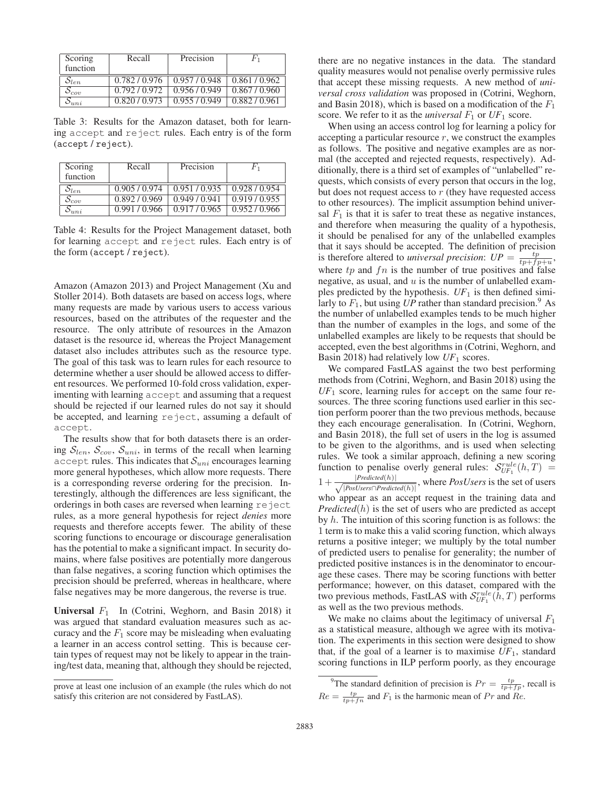| Scoring<br>function | Recall        | Precision   | $F_1$         |
|---------------------|---------------|-------------|---------------|
| $S_{len}$           | 0.782/0.976   | 0.957/0.948 | 0.861/0.962   |
| $S_{cov}$           | 0.792/0.972   | 0.956/0.949 | 0.867/0.960   |
| $S_{uni}$           | 0.820 / 0.973 | 0.955/0.949 | 0.882 / 0.961 |

Table 3: Results for the Amazon dataset, both for learning accept and reject rules. Each entry is of the form (accept / reject).

| Scoring<br>function           | Recall      | Precision   | F'ı         |
|-------------------------------|-------------|-------------|-------------|
| $\mathcal{O}_{len}$           | 0.905/0.974 | 0.951/0.935 | 0.928/0.954 |
| $\mathcal{O}_{\mathit{conv}}$ | 0.892/0.969 | 0.949/0.941 | 0.919/0.955 |
| $\mathfrak{z}_{uni}$          | 0.991/0.966 | 0.917/0.965 | 0.952/0.966 |

Table 4: Results for the Project Management dataset, both for learning accept and reject rules. Each entry is of the form (accept / reject).

Amazon (Amazon 2013) and Project Management (Xu and Stoller 2014). Both datasets are based on access logs, where many requests are made by various users to access various resources, based on the attributes of the requester and the resource. The only attribute of resources in the Amazon dataset is the resource id, whereas the Project Management dataset also includes attributes such as the resource type. The goal of this task was to learn rules for each resource to determine whether a user should be allowed access to different resources. We performed 10-fold cross validation, experimenting with learning accept and assuming that a request should be rejected if our learned rules do not say it should be accepted, and learning reject, assuming a default of accept.

The results show that for both datasets there is an ordering  $S_{len}$ ,  $S_{cov}$ ,  $S_{uni}$ , in terms of the recall when learning accept rules. This indicates that  $\mathcal{S}_{uni}$  encourages learning more general hypotheses, which allow more requests. There is a corresponding reverse ordering for the precision. Interestingly, although the differences are less significant, the orderings in both cases are reversed when learning reject rules, as a more general hypothesis for reject *denies* more requests and therefore accepts fewer. The ability of these scoring functions to encourage or discourage generalisation has the potential to make a significant impact. In security domains, where false positives are potentially more dangerous than false negatives, a scoring function which optimises the precision should be preferred, whereas in healthcare, where false negatives may be more dangerous, the reverse is true.

Universal  $F_1$  In (Cotrini, Weghorn, and Basin 2018) it was argued that standard evaluation measures such as accuracy and the  $F_1$  score may be misleading when evaluating a learner in an access control setting. This is because certain types of request may not be likely to appear in the training/test data, meaning that, although they should be rejected,

there are no negative instances in the data. The standard quality measures would not penalise overly permissive rules that accept these missing requests. A new method of *universal cross validation* was proposed in (Cotrini, Weghorn, and Basin 2018), which is based on a modification of the  $F_1$ score. We refer to it as the *universal*  $F_1$  or  $UF_1$  score.

When using an access control log for learning a policy for accepting a particular resource  $r$ , we construct the examples as follows. The positive and negative examples are as normal (the accepted and rejected requests, respectively). Additionally, there is a third set of examples of "unlabelled" requests, which consists of every person that occurs in the log, but does not request access to  $r$  (they have requested access to other resources). The implicit assumption behind universal  $F_1$  is that it is safer to treat these as negative instances, and therefore when measuring the quality of a hypothesis, it should be penalised for any of the unlabelled examples that it says should be accepted. The definition of precision is therefore altered to *universal precision*:  $UP = \frac{tp}{tp + fp + u}$ , where  $tp$  and  $fn$  is the number of true positives and false negative, as usual, and  $u$  is the number of unlabelled examples predicted by the hypothesis.  $UF_1$  is then defined similarly to  $F_1$ , but using UP rather than standard precision.<sup>9</sup> As the number of unlabelled examples tends to be much higher than the number of examples in the logs, and some of the unlabelled examples are likely to be requests that should be accepted, even the best algorithms in (Cotrini, Weghorn, and Basin 2018) had relatively low  $UF_1$  scores.

We compared FastLAS against the two best performing methods from (Cotrini, Weghorn, and Basin 2018) using the  $UF_1$  score, learning rules for accept on the same four resources. The three scoring functions used earlier in this section perform poorer than the two previous methods, because they each encourage generalisation. In (Cotrini, Weghorn, and Basin 2018), the full set of users in the log is assumed to be given to the algorithms, and is used when selecting rules. We took a similar approach, defining a new scoring function to penalise overly general rules:  $S_{UF_1}^{rule}(h,T)$  =  $1 + \frac{|Predicted(h)|}{\sqrt{|\mathbf{p}_h(t)-\mathbf{p}_h(t)|}}$  $\frac{|Prealched(n)|}{|PosUsers \cap Predicted(h)|}$ , where *PosUsers* is the set of users who appear as an accept request in the training data and *Predicted* $(h)$  is the set of users who are predicted as accept by h. The intuition of this scoring function is as follows: the 1 term is to make this a valid scoring function, which always returns a positive integer; we multiply by the total number of predicted users to penalise for generality; the number of predicted positive instances is in the denominator to encourage these cases. There may be scoring functions with better performance; however, on this dataset, compared with the two previous methods, FastLAS with  $\mathcal{S}_{UF_1}^{rule}(h,T)$  performs as well as the two previous methods.

We make no claims about the legitimacy of universal  $F_1$ as a statistical measure, although we agree with its motivation. The experiments in this section were designed to show that, if the goal of a learner is to maximise  $UF_1$ , standard scoring functions in ILP perform poorly, as they encourage

prove at least one inclusion of an example (the rules which do not satisfy this criterion are not considered by FastLAS).

<sup>&</sup>lt;sup>9</sup>The standard definition of precision is  $Pr = \frac{tp}{tp+fp}$ , recall is  $Re = \frac{tp}{tp+fn}$  and  $F_1$  is the harmonic mean of  $Pr$  and  $Re$ .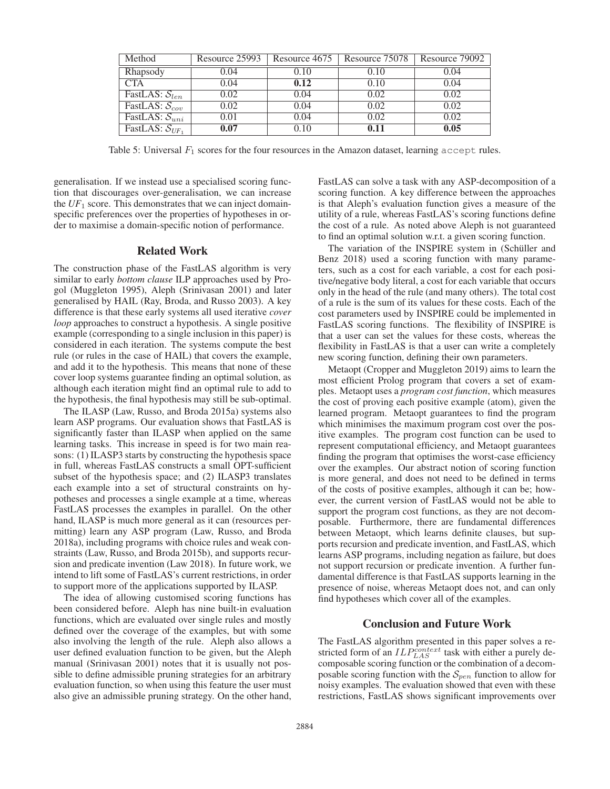| Method                        | Resource 25993 | Resource 4675 | Resource 75078 | Resource 79092 |
|-------------------------------|----------------|---------------|----------------|----------------|
| Rhapsody                      | 0.04           | 0.10          | 0.10           | 0.04           |
| CTA                           | 0.04           | 0.12          | 0.10           | 0.04           |
| FastLAS: $S_{len}$            | 0.02           | 0.04          | 0.02           | 0.02           |
| FastLAS: $\overline{S_{cov}}$ | 0.02           | 0.04          | 0.02           | 0.02           |
| FastLAS: $\mathcal{S}_{uni}$  | 0.01           | 0.04          | 0.02           | 0.02           |
| FastLAS: $S_{UF_1}$           | 0.07           | 0.10          | 0.11           | 0.05           |

Table 5: Universal  $F_1$  scores for the four resources in the Amazon dataset, learning accept rules.

generalisation. If we instead use a specialised scoring function that discourages over-generalisation, we can increase the  $UF_1$  score. This demonstrates that we can inject domainspecific preferences over the properties of hypotheses in order to maximise a domain-specific notion of performance.

## Related Work

The construction phase of the FastLAS algorithm is very similar to early *bottom clause* ILP approaches used by Progol (Muggleton 1995), Aleph (Srinivasan 2001) and later generalised by HAIL (Ray, Broda, and Russo 2003). A key difference is that these early systems all used iterative *cover loop* approaches to construct a hypothesis. A single positive example (corresponding to a single inclusion in this paper) is considered in each iteration. The systems compute the best rule (or rules in the case of HAIL) that covers the example, and add it to the hypothesis. This means that none of these cover loop systems guarantee finding an optimal solution, as although each iteration might find an optimal rule to add to the hypothesis, the final hypothesis may still be sub-optimal.

The ILASP (Law, Russo, and Broda 2015a) systems also learn ASP programs. Our evaluation shows that FastLAS is significantly faster than ILASP when applied on the same learning tasks. This increase in speed is for two main reasons: (1) ILASP3 starts by constructing the hypothesis space in full, whereas FastLAS constructs a small OPT-sufficient subset of the hypothesis space; and (2) ILASP3 translates each example into a set of structural constraints on hypotheses and processes a single example at a time, whereas FastLAS processes the examples in parallel. On the other hand, ILASP is much more general as it can (resources permitting) learn any ASP program (Law, Russo, and Broda 2018a), including programs with choice rules and weak constraints (Law, Russo, and Broda 2015b), and supports recursion and predicate invention (Law 2018). In future work, we intend to lift some of FastLAS's current restrictions, in order to support more of the applications supported by ILASP.

The idea of allowing customised scoring functions has been considered before. Aleph has nine built-in evaluation functions, which are evaluated over single rules and mostly defined over the coverage of the examples, but with some also involving the length of the rule. Aleph also allows a user defined evaluation function to be given, but the Aleph manual (Srinivasan 2001) notes that it is usually not possible to define admissible pruning strategies for an arbitrary evaluation function, so when using this feature the user must also give an admissible pruning strategy. On the other hand, FastLAS can solve a task with any ASP-decomposition of a scoring function. A key difference between the approaches is that Aleph's evaluation function gives a measure of the utility of a rule, whereas FastLAS's scoring functions define the cost of a rule. As noted above Aleph is not guaranteed to find an optimal solution w.r.t. a given scoring function.

The variation of the INSPIRE system in (Schüller and Benz 2018) used a scoring function with many parameters, such as a cost for each variable, a cost for each positive/negative body literal, a cost for each variable that occurs only in the head of the rule (and many others). The total cost of a rule is the sum of its values for these costs. Each of the cost parameters used by INSPIRE could be implemented in FastLAS scoring functions. The flexibility of INSPIRE is that a user can set the values for these costs, whereas the flexibility in FastLAS is that a user can write a completely new scoring function, defining their own parameters.

Metaopt (Cropper and Muggleton 2019) aims to learn the most efficient Prolog program that covers a set of examples. Metaopt uses a *program cost function*, which measures the cost of proving each positive example (atom), given the learned program. Metaopt guarantees to find the program which minimises the maximum program cost over the positive examples. The program cost function can be used to represent computational efficiency, and Metaopt guarantees finding the program that optimises the worst-case efficiency over the examples. Our abstract notion of scoring function is more general, and does not need to be defined in terms of the costs of positive examples, although it can be; however, the current version of FastLAS would not be able to support the program cost functions, as they are not decomposable. Furthermore, there are fundamental differences between Metaopt, which learns definite clauses, but supports recursion and predicate invention, and FastLAS, which learns ASP programs, including negation as failure, but does not support recursion or predicate invention. A further fundamental difference is that FastLAS supports learning in the presence of noise, whereas Metaopt does not, and can only find hypotheses which cover all of the examples.

## Conclusion and Future Work

The FastLAS algorithm presented in this paper solves a restricted form of an  $ILP_{LAS}^{context}$  task with either a purely decomposable scoring function or the combination of a decomposable scoring function with the  $S_{pen}$  function to allow for noisy examples. The evaluation showed that even with these restrictions, FastLAS shows significant improvements over